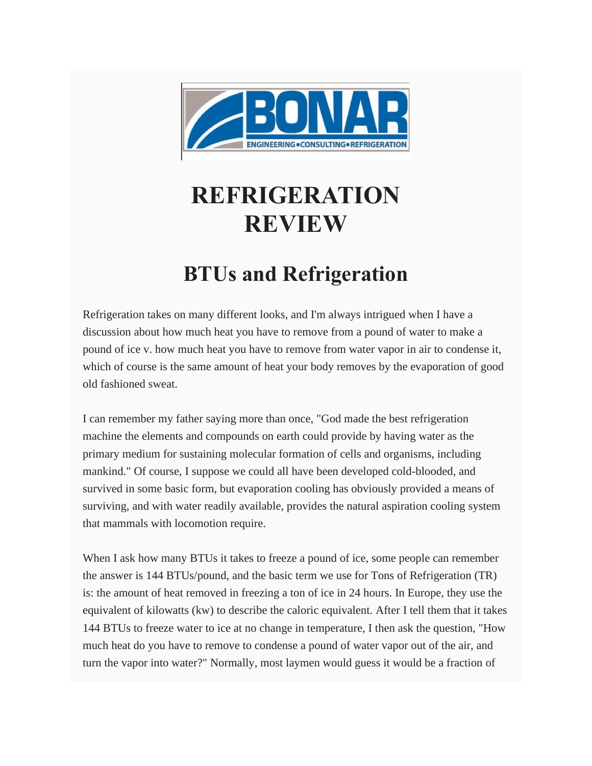

## **REFRIGERATION REVIEW**

## **BTUs and Refrigeration**

Refrigeration takes on many different looks, and I'm always intrigued when I have a discussion about how much heat you have to remove from a pound of water to make a pound of ice v. how much heat you have to remove from water vapor in air to condense it, which of course is the same amount of heat your body removes by the evaporation of good old fashioned sweat.

I can remember my father saying more than once, "God made the best refrigeration machine the elements and compounds on earth could provide by having water as the primary medium for sustaining molecular formation of cells and organisms, including mankind." Of course, I suppose we could all have been developed cold-blooded, and survived in some basic form, but evaporation cooling has obviously provided a means of surviving, and with water readily available, provides the natural aspiration cooling system that mammals with locomotion require.

When I ask how many BTUs it takes to freeze a pound of ice, some people can remember the answer is 144 BTUs/pound, and the basic term we use for Tons of Refrigeration (TR) is: the amount of heat removed in freezing a ton of ice in 24 hours. In Europe, they use the equivalent of kilowatts (kw) to describe the caloric equivalent. After I tell them that it takes 144 BTUs to freeze water to ice at no change in temperature, I then ask the question, "How much heat do you have to remove to condense a pound of water vapor out of the air, and turn the vapor into water?" Normally, most laymen would guess it would be a fraction of